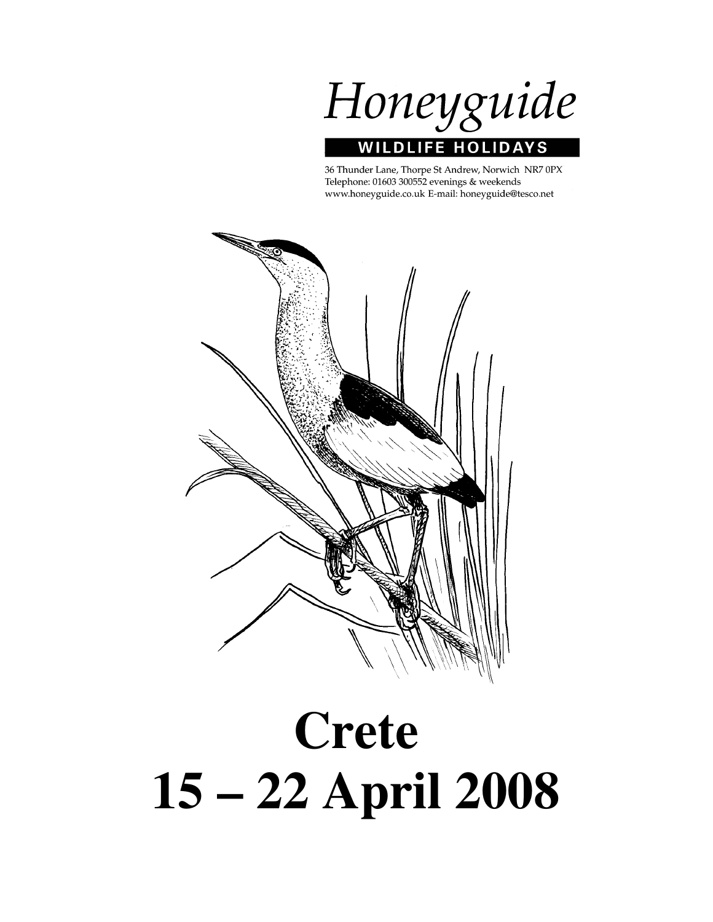

36 Thunder Lane, Thorpe St Andrew, Norwich NR7 0PX Telephone: 01603 300552 evenings & weekends www.honeyguide.co.uk E-mail: honeyguide@tesco.net



# **Crete 15 – 22 April 2008**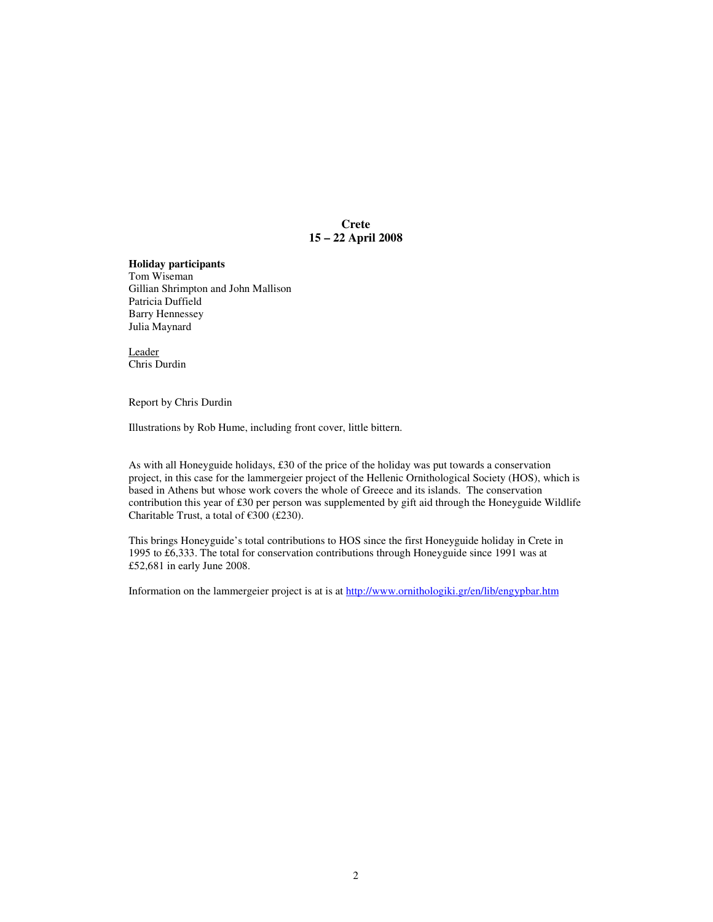**Crete 15 – 22 April 2008** 

#### **Holiday participants**

Tom Wiseman Gillian Shrimpton and John Mallison Patricia Duffield Barry Hennessey Julia Maynard

Leader Chris Durdin

Report by Chris Durdin

Illustrations by Rob Hume, including front cover, little bittern.

As with all Honeyguide holidays, £30 of the price of the holiday was put towards a conservation project, in this case for the lammergeier project of the Hellenic Ornithological Society (HOS), which is based in Athens but whose work covers the whole of Greece and its islands. The conservation contribution this year of £30 per person was supplemented by gift aid through the Honeyguide Wildlife Charitable Trust, a total of  $\epsilon$ 300 (£230).

This brings Honeyguide's total contributions to HOS since the first Honeyguide holiday in Crete in 1995 to £6,333. The total for conservation contributions through Honeyguide since 1991 was at £52,681 in early June 2008.

Information on the lammergeier project is at is at http://www.ornithologiki.gr/en/lib/engypbar.htm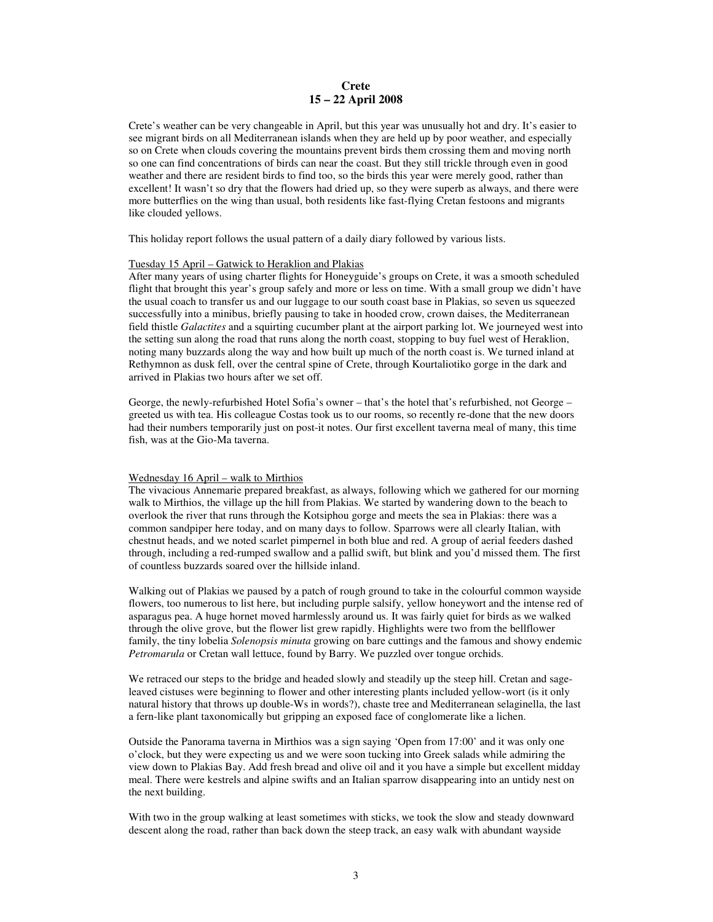#### **Crete 15 – 22 April 2008**

Crete's weather can be very changeable in April, but this year was unusually hot and dry. It's easier to see migrant birds on all Mediterranean islands when they are held up by poor weather, and especially so on Crete when clouds covering the mountains prevent birds them crossing them and moving north so one can find concentrations of birds can near the coast. But they still trickle through even in good weather and there are resident birds to find too, so the birds this year were merely good, rather than excellent! It wasn't so dry that the flowers had dried up, so they were superb as always, and there were more butterflies on the wing than usual, both residents like fast-flying Cretan festoons and migrants like clouded yellows.

This holiday report follows the usual pattern of a daily diary followed by various lists.

#### Tuesday 15 April – Gatwick to Heraklion and Plakias

After many years of using charter flights for Honeyguide's groups on Crete, it was a smooth scheduled flight that brought this year's group safely and more or less on time. With a small group we didn't have the usual coach to transfer us and our luggage to our south coast base in Plakias, so seven us squeezed successfully into a minibus, briefly pausing to take in hooded crow, crown daises, the Mediterranean field thistle *Galactites* and a squirting cucumber plant at the airport parking lot. We journeyed west into the setting sun along the road that runs along the north coast, stopping to buy fuel west of Heraklion, noting many buzzards along the way and how built up much of the north coast is. We turned inland at Rethymnon as dusk fell, over the central spine of Crete, through Kourtaliotiko gorge in the dark and arrived in Plakias two hours after we set off.

George, the newly-refurbished Hotel Sofia's owner – that's the hotel that's refurbished, not George – greeted us with tea. His colleague Costas took us to our rooms, so recently re-done that the new doors had their numbers temporarily just on post-it notes. Our first excellent taverna meal of many, this time fish, was at the Gio-Ma taverna.

#### Wednesday 16 April – walk to Mirthios

The vivacious Annemarie prepared breakfast, as always, following which we gathered for our morning walk to Mirthios, the village up the hill from Plakias. We started by wandering down to the beach to overlook the river that runs through the Kotsiphou gorge and meets the sea in Plakias: there was a common sandpiper here today, and on many days to follow. Sparrows were all clearly Italian, with chestnut heads, and we noted scarlet pimpernel in both blue and red. A group of aerial feeders dashed through, including a red-rumped swallow and a pallid swift, but blink and you'd missed them. The first of countless buzzards soared over the hillside inland.

Walking out of Plakias we paused by a patch of rough ground to take in the colourful common wayside flowers, too numerous to list here, but including purple salsify, yellow honeywort and the intense red of asparagus pea. A huge hornet moved harmlessly around us. It was fairly quiet for birds as we walked through the olive grove, but the flower list grew rapidly. Highlights were two from the bellflower family, the tiny lobelia *Solenopsis minuta* growing on bare cuttings and the famous and showy endemic *Petromarula* or Cretan wall lettuce, found by Barry. We puzzled over tongue orchids.

We retraced our steps to the bridge and headed slowly and steadily up the steep hill. Cretan and sageleaved cistuses were beginning to flower and other interesting plants included yellow-wort (is it only natural history that throws up double-Ws in words?), chaste tree and Mediterranean selaginella, the last a fern-like plant taxonomically but gripping an exposed face of conglomerate like a lichen.

Outside the Panorama taverna in Mirthios was a sign saying 'Open from 17:00' and it was only one o'clock, but they were expecting us and we were soon tucking into Greek salads while admiring the view down to Plakias Bay. Add fresh bread and olive oil and it you have a simple but excellent midday meal. There were kestrels and alpine swifts and an Italian sparrow disappearing into an untidy nest on the next building.

With two in the group walking at least sometimes with sticks, we took the slow and steady downward descent along the road, rather than back down the steep track, an easy walk with abundant wayside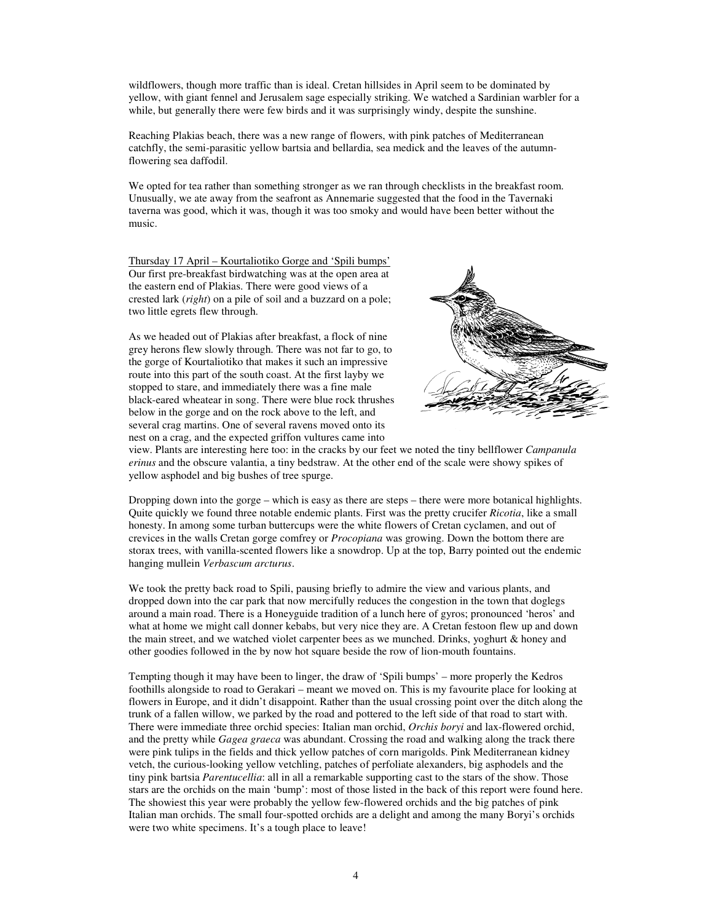wildflowers, though more traffic than is ideal. Cretan hillsides in April seem to be dominated by yellow, with giant fennel and Jerusalem sage especially striking. We watched a Sardinian warbler for a while, but generally there were few birds and it was surprisingly windy, despite the sunshine.

Reaching Plakias beach, there was a new range of flowers, with pink patches of Mediterranean catchfly, the semi-parasitic yellow bartsia and bellardia, sea medick and the leaves of the autumnflowering sea daffodil.

We opted for tea rather than something stronger as we ran through checklists in the breakfast room. Unusually, we ate away from the seafront as Annemarie suggested that the food in the Tavernaki taverna was good, which it was, though it was too smoky and would have been better without the music.

Thursday 17 April – Kourtaliotiko Gorge and 'Spili bumps' Our first pre-breakfast birdwatching was at the open area at the eastern end of Plakias. There were good views of a crested lark (*right*) on a pile of soil and a buzzard on a pole; two little egrets flew through.

As we headed out of Plakias after breakfast, a flock of nine grey herons flew slowly through. There was not far to go, to the gorge of Kourtaliotiko that makes it such an impressive route into this part of the south coast. At the first layby we stopped to stare, and immediately there was a fine male black-eared wheatear in song. There were blue rock thrushes below in the gorge and on the rock above to the left, and several crag martins. One of several ravens moved onto its nest on a crag, and the expected griffon vultures came into



view. Plants are interesting here too: in the cracks by our feet we noted the tiny bellflower *Campanula erinus* and the obscure valantia, a tiny bedstraw. At the other end of the scale were showy spikes of yellow asphodel and big bushes of tree spurge.

Dropping down into the gorge – which is easy as there are steps – there were more botanical highlights. Quite quickly we found three notable endemic plants. First was the pretty crucifer *Ricotia*, like a small honesty. In among some turban buttercups were the white flowers of Cretan cyclamen, and out of crevices in the walls Cretan gorge comfrey or *Procopiana* was growing. Down the bottom there are storax trees, with vanilla-scented flowers like a snowdrop. Up at the top, Barry pointed out the endemic hanging mullein *Verbascum arcturus*.

We took the pretty back road to Spili, pausing briefly to admire the view and various plants, and dropped down into the car park that now mercifully reduces the congestion in the town that doglegs around a main road. There is a Honeyguide tradition of a lunch here of gyros; pronounced 'heros' and what at home we might call donner kebabs, but very nice they are. A Cretan festoon flew up and down the main street, and we watched violet carpenter bees as we munched. Drinks, yoghurt & honey and other goodies followed in the by now hot square beside the row of lion-mouth fountains.

Tempting though it may have been to linger, the draw of 'Spili bumps' – more properly the Kedros foothills alongside to road to Gerakari – meant we moved on. This is my favourite place for looking at flowers in Europe, and it didn't disappoint. Rather than the usual crossing point over the ditch along the trunk of a fallen willow, we parked by the road and pottered to the left side of that road to start with. There were immediate three orchid species: Italian man orchid, *Orchis boryi* and lax-flowered orchid, and the pretty while *Gagea graeca* was abundant. Crossing the road and walking along the track there were pink tulips in the fields and thick yellow patches of corn marigolds. Pink Mediterranean kidney vetch, the curious-looking yellow vetchling, patches of perfoliate alexanders, big asphodels and the tiny pink bartsia *Parentucellia*: all in all a remarkable supporting cast to the stars of the show. Those stars are the orchids on the main 'bump': most of those listed in the back of this report were found here. The showiest this year were probably the yellow few-flowered orchids and the big patches of pink Italian man orchids. The small four-spotted orchids are a delight and among the many Boryi's orchids were two white specimens. It's a tough place to leave!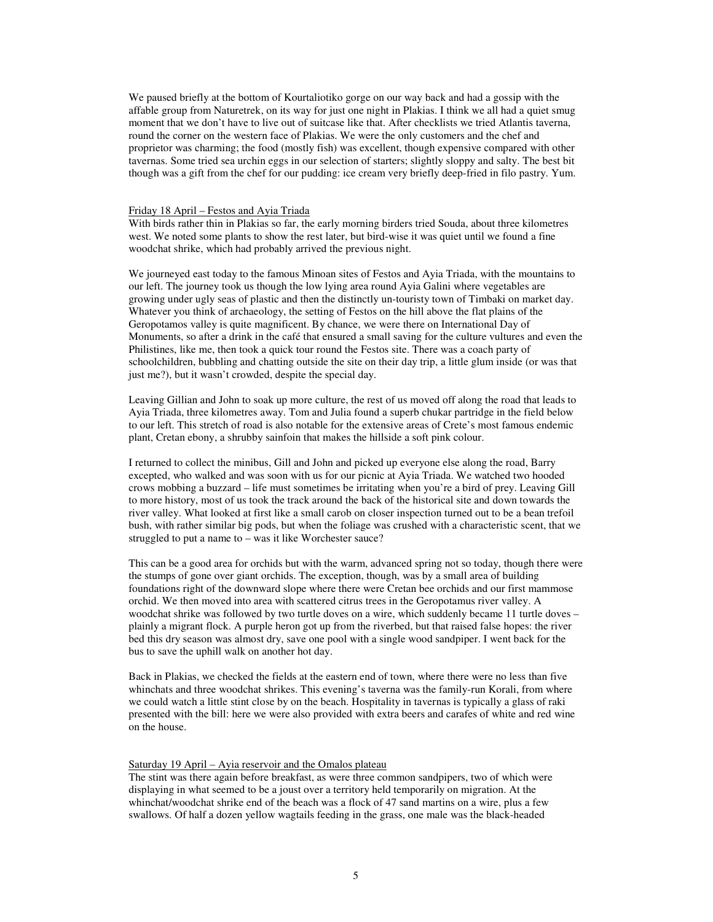We paused briefly at the bottom of Kourtaliotiko gorge on our way back and had a gossip with the affable group from Naturetrek, on its way for just one night in Plakias. I think we all had a quiet smug moment that we don't have to live out of suitcase like that. After checklists we tried Atlantis taverna, round the corner on the western face of Plakias. We were the only customers and the chef and proprietor was charming; the food (mostly fish) was excellent, though expensive compared with other tavernas. Some tried sea urchin eggs in our selection of starters; slightly sloppy and salty. The best bit though was a gift from the chef for our pudding: ice cream very briefly deep-fried in filo pastry. Yum.

#### Friday 18 April – Festos and Ayia Triada

With birds rather thin in Plakias so far, the early morning birders tried Souda, about three kilometres west. We noted some plants to show the rest later, but bird-wise it was quiet until we found a fine woodchat shrike, which had probably arrived the previous night.

We journeyed east today to the famous Minoan sites of Festos and Ayia Triada, with the mountains to our left. The journey took us though the low lying area round Ayia Galini where vegetables are growing under ugly seas of plastic and then the distinctly un-touristy town of Timbaki on market day. Whatever you think of archaeology, the setting of Festos on the hill above the flat plains of the Geropotamos valley is quite magnificent. By chance, we were there on International Day of Monuments, so after a drink in the café that ensured a small saving for the culture vultures and even the Philistines, like me, then took a quick tour round the Festos site. There was a coach party of schoolchildren, bubbling and chatting outside the site on their day trip, a little glum inside (or was that just me?), but it wasn't crowded, despite the special day.

Leaving Gillian and John to soak up more culture, the rest of us moved off along the road that leads to Ayia Triada, three kilometres away. Tom and Julia found a superb chukar partridge in the field below to our left. This stretch of road is also notable for the extensive areas of Crete's most famous endemic plant, Cretan ebony, a shrubby sainfoin that makes the hillside a soft pink colour.

I returned to collect the minibus, Gill and John and picked up everyone else along the road, Barry excepted, who walked and was soon with us for our picnic at Ayia Triada. We watched two hooded crows mobbing a buzzard – life must sometimes be irritating when you're a bird of prey. Leaving Gill to more history, most of us took the track around the back of the historical site and down towards the river valley. What looked at first like a small carob on closer inspection turned out to be a bean trefoil bush, with rather similar big pods, but when the foliage was crushed with a characteristic scent, that we struggled to put a name to – was it like Worchester sauce?

This can be a good area for orchids but with the warm, advanced spring not so today, though there were the stumps of gone over giant orchids. The exception, though, was by a small area of building foundations right of the downward slope where there were Cretan bee orchids and our first mammose orchid. We then moved into area with scattered citrus trees in the Geropotamus river valley. A woodchat shrike was followed by two turtle doves on a wire, which suddenly became 11 turtle doves – plainly a migrant flock. A purple heron got up from the riverbed, but that raised false hopes: the river bed this dry season was almost dry, save one pool with a single wood sandpiper. I went back for the bus to save the uphill walk on another hot day.

Back in Plakias, we checked the fields at the eastern end of town, where there were no less than five whinchats and three woodchat shrikes. This evening's taverna was the family-run Korali, from where we could watch a little stint close by on the beach. Hospitality in tavernas is typically a glass of raki presented with the bill: here we were also provided with extra beers and carafes of white and red wine on the house.

#### Saturday 19 April – Ayia reservoir and the Omalos plateau

The stint was there again before breakfast, as were three common sandpipers, two of which were displaying in what seemed to be a joust over a territory held temporarily on migration. At the whinchat/woodchat shrike end of the beach was a flock of 47 sand martins on a wire, plus a few swallows. Of half a dozen yellow wagtails feeding in the grass, one male was the black-headed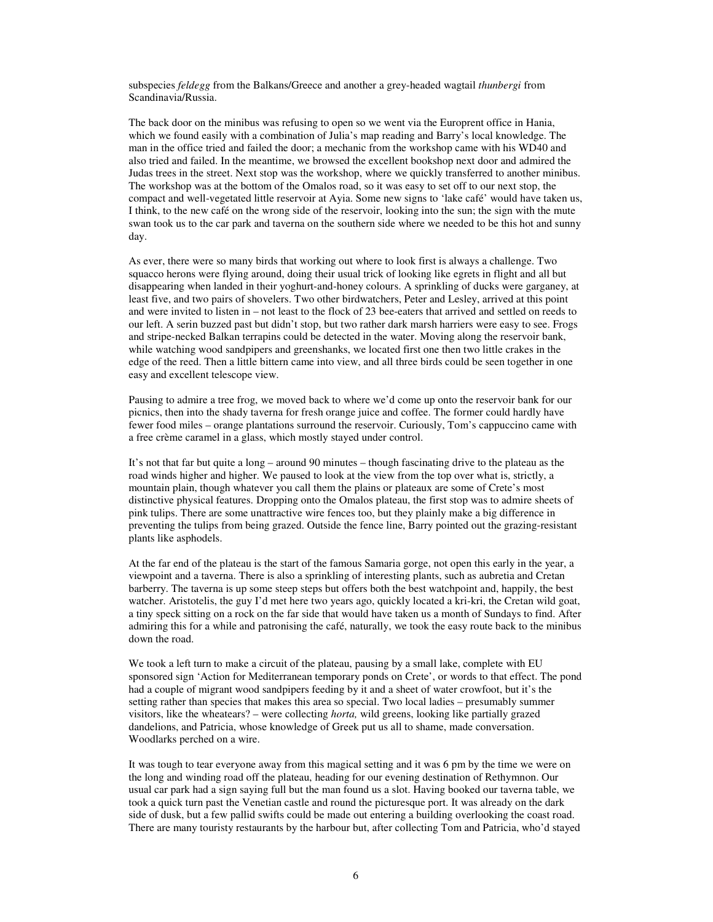subspecies *feldegg* from the Balkans/Greece and another a grey-headed wagtail *thunbergi* from Scandinavia/Russia.

The back door on the minibus was refusing to open so we went via the Europrent office in Hania, which we found easily with a combination of Julia's map reading and Barry's local knowledge. The man in the office tried and failed the door; a mechanic from the workshop came with his WD40 and also tried and failed. In the meantime, we browsed the excellent bookshop next door and admired the Judas trees in the street. Next stop was the workshop, where we quickly transferred to another minibus. The workshop was at the bottom of the Omalos road, so it was easy to set off to our next stop, the compact and well-vegetated little reservoir at Ayia. Some new signs to 'lake café' would have taken us, I think, to the new café on the wrong side of the reservoir, looking into the sun; the sign with the mute swan took us to the car park and taverna on the southern side where we needed to be this hot and sunny day.

As ever, there were so many birds that working out where to look first is always a challenge. Two squacco herons were flying around, doing their usual trick of looking like egrets in flight and all but disappearing when landed in their yoghurt-and-honey colours. A sprinkling of ducks were garganey, at least five, and two pairs of shovelers. Two other birdwatchers, Peter and Lesley, arrived at this point and were invited to listen in – not least to the flock of 23 bee-eaters that arrived and settled on reeds to our left. A serin buzzed past but didn't stop, but two rather dark marsh harriers were easy to see. Frogs and stripe-necked Balkan terrapins could be detected in the water. Moving along the reservoir bank, while watching wood sandpipers and greenshanks, we located first one then two little crakes in the edge of the reed. Then a little bittern came into view, and all three birds could be seen together in one easy and excellent telescope view.

Pausing to admire a tree frog, we moved back to where we'd come up onto the reservoir bank for our picnics, then into the shady taverna for fresh orange juice and coffee. The former could hardly have fewer food miles – orange plantations surround the reservoir. Curiously, Tom's cappuccino came with a free crème caramel in a glass, which mostly stayed under control.

It's not that far but quite a long – around 90 minutes – though fascinating drive to the plateau as the road winds higher and higher. We paused to look at the view from the top over what is, strictly, a mountain plain, though whatever you call them the plains or plateaux are some of Crete's most distinctive physical features. Dropping onto the Omalos plateau, the first stop was to admire sheets of pink tulips. There are some unattractive wire fences too, but they plainly make a big difference in preventing the tulips from being grazed. Outside the fence line, Barry pointed out the grazing-resistant plants like asphodels.

At the far end of the plateau is the start of the famous Samaria gorge, not open this early in the year, a viewpoint and a taverna. There is also a sprinkling of interesting plants, such as aubretia and Cretan barberry. The taverna is up some steep steps but offers both the best watchpoint and, happily, the best watcher. Aristotelis, the guy I'd met here two years ago, quickly located a kri-kri, the Cretan wild goat, a tiny speck sitting on a rock on the far side that would have taken us a month of Sundays to find. After admiring this for a while and patronising the café, naturally, we took the easy route back to the minibus down the road.

We took a left turn to make a circuit of the plateau, pausing by a small lake, complete with EU sponsored sign 'Action for Mediterranean temporary ponds on Crete', or words to that effect. The pond had a couple of migrant wood sandpipers feeding by it and a sheet of water crowfoot, but it's the setting rather than species that makes this area so special. Two local ladies – presumably summer visitors, like the wheatears? – were collecting *horta,* wild greens, looking like partially grazed dandelions, and Patricia, whose knowledge of Greek put us all to shame, made conversation. Woodlarks perched on a wire.

It was tough to tear everyone away from this magical setting and it was 6 pm by the time we were on the long and winding road off the plateau, heading for our evening destination of Rethymnon. Our usual car park had a sign saying full but the man found us a slot. Having booked our taverna table, we took a quick turn past the Venetian castle and round the picturesque port. It was already on the dark side of dusk, but a few pallid swifts could be made out entering a building overlooking the coast road. There are many touristy restaurants by the harbour but, after collecting Tom and Patricia, who'd stayed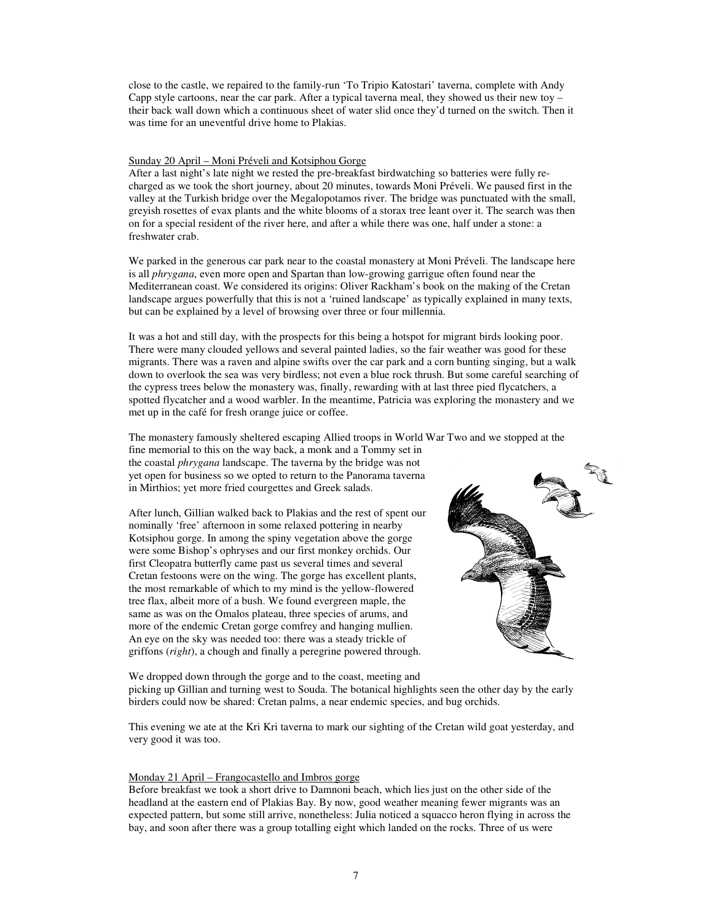close to the castle, we repaired to the family-run 'To Tripio Katostari' taverna, complete with Andy Capp style cartoons, near the car park. After a typical taverna meal, they showed us their new toy – their back wall down which a continuous sheet of water slid once they'd turned on the switch. Then it was time for an uneventful drive home to Plakias.

#### Sunday 20 April – Moni Préveli and Kotsiphou Gorge

After a last night's late night we rested the pre-breakfast birdwatching so batteries were fully recharged as we took the short journey, about 20 minutes, towards Moni Préveli. We paused first in the valley at the Turkish bridge over the Megalopotamos river. The bridge was punctuated with the small, greyish rosettes of evax plants and the white blooms of a storax tree leant over it. The search was then on for a special resident of the river here, and after a while there was one, half under a stone: a freshwater crab.

We parked in the generous car park near to the coastal monastery at Moni Préveli. The landscape here is all *phrygana*, even more open and Spartan than low-growing garrigue often found near the Mediterranean coast. We considered its origins: Oliver Rackham's book on the making of the Cretan landscape argues powerfully that this is not a 'ruined landscape' as typically explained in many texts, but can be explained by a level of browsing over three or four millennia.

It was a hot and still day, with the prospects for this being a hotspot for migrant birds looking poor. There were many clouded yellows and several painted ladies, so the fair weather was good for these migrants. There was a raven and alpine swifts over the car park and a corn bunting singing, but a walk down to overlook the sea was very birdless; not even a blue rock thrush. But some careful searching of the cypress trees below the monastery was, finally, rewarding with at last three pied flycatchers, a spotted flycatcher and a wood warbler. In the meantime, Patricia was exploring the monastery and we met up in the café for fresh orange juice or coffee.

The monastery famously sheltered escaping Allied troops in World War Two and we stopped at the

fine memorial to this on the way back, a monk and a Tommy set in the coastal *phrygana* landscape. The taverna by the bridge was not yet open for business so we opted to return to the Panorama taverna in Mirthios; yet more fried courgettes and Greek salads.

After lunch, Gillian walked back to Plakias and the rest of spent our nominally 'free' afternoon in some relaxed pottering in nearby Kotsiphou gorge. In among the spiny vegetation above the gorge were some Bishop's ophryses and our first monkey orchids. Our first Cleopatra butterfly came past us several times and several Cretan festoons were on the wing. The gorge has excellent plants, the most remarkable of which to my mind is the yellow-flowered tree flax, albeit more of a bush. We found evergreen maple, the same as was on the Omalos plateau, three species of arums, and more of the endemic Cretan gorge comfrey and hanging mullien. An eye on the sky was needed too: there was a steady trickle of griffons (*right*), a chough and finally a peregrine powered through.



We dropped down through the gorge and to the coast, meeting and picking up Gillian and turning west to Souda. The botanical highlights seen the other day by the early birders could now be shared: Cretan palms, a near endemic species, and bug orchids.

This evening we ate at the Kri Kri taverna to mark our sighting of the Cretan wild goat yesterday, and very good it was too.

#### Monday 21 April – Frangocastello and Imbros gorge

Before breakfast we took a short drive to Damnoni beach, which lies just on the other side of the headland at the eastern end of Plakias Bay. By now, good weather meaning fewer migrants was an expected pattern, but some still arrive, nonetheless: Julia noticed a squacco heron flying in across the bay, and soon after there was a group totalling eight which landed on the rocks. Three of us were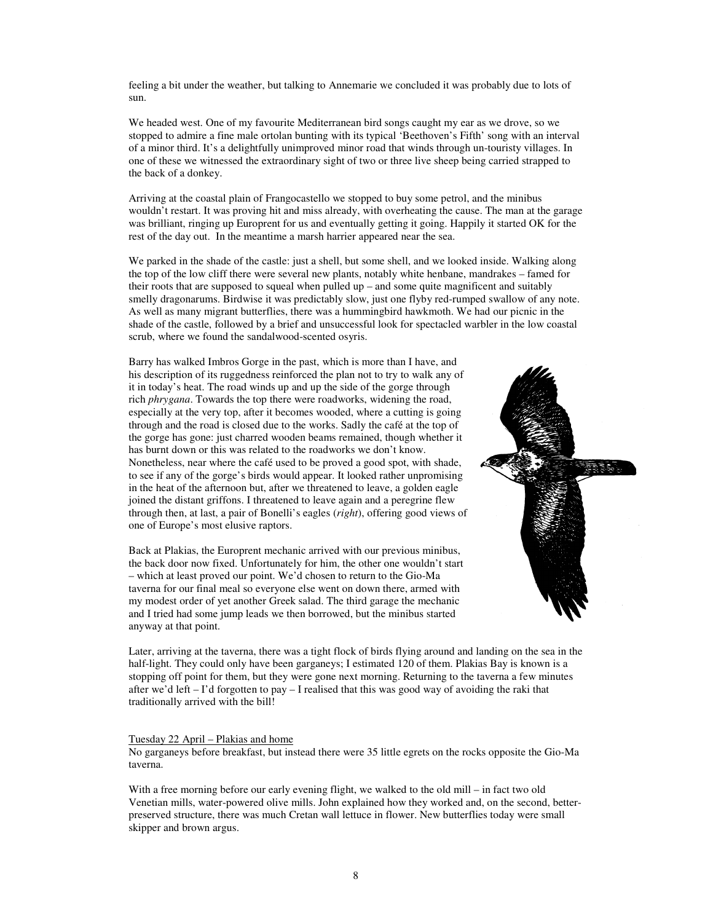feeling a bit under the weather, but talking to Annemarie we concluded it was probably due to lots of sun.

We headed west. One of my favourite Mediterranean bird songs caught my ear as we drove, so we stopped to admire a fine male ortolan bunting with its typical 'Beethoven's Fifth' song with an interval of a minor third. It's a delightfully unimproved minor road that winds through un-touristy villages. In one of these we witnessed the extraordinary sight of two or three live sheep being carried strapped to the back of a donkey.

Arriving at the coastal plain of Frangocastello we stopped to buy some petrol, and the minibus wouldn't restart. It was proving hit and miss already, with overheating the cause. The man at the garage was brilliant, ringing up Europrent for us and eventually getting it going. Happily it started OK for the rest of the day out. In the meantime a marsh harrier appeared near the sea.

We parked in the shade of the castle: just a shell, but some shell, and we looked inside. Walking along the top of the low cliff there were several new plants, notably white henbane, mandrakes – famed for their roots that are supposed to squeal when pulled up – and some quite magnificent and suitably smelly dragonarums. Birdwise it was predictably slow, just one flyby red-rumped swallow of any note. As well as many migrant butterflies, there was a hummingbird hawkmoth. We had our picnic in the shade of the castle, followed by a brief and unsuccessful look for spectacled warbler in the low coastal scrub, where we found the sandalwood-scented osyris.

Barry has walked Imbros Gorge in the past, which is more than I have, and his description of its ruggedness reinforced the plan not to try to walk any of it in today's heat. The road winds up and up the side of the gorge through rich *phrygana*. Towards the top there were roadworks, widening the road, especially at the very top, after it becomes wooded, where a cutting is going through and the road is closed due to the works. Sadly the café at the top of the gorge has gone: just charred wooden beams remained, though whether it has burnt down or this was related to the roadworks we don't know. Nonetheless, near where the café used to be proved a good spot, with shade, to see if any of the gorge's birds would appear. It looked rather unpromising in the heat of the afternoon but, after we threatened to leave, a golden eagle joined the distant griffons. I threatened to leave again and a peregrine flew through then, at last, a pair of Bonelli's eagles (*right*), offering good views of one of Europe's most elusive raptors.

Back at Plakias, the Europrent mechanic arrived with our previous minibus, the back door now fixed. Unfortunately for him, the other one wouldn't start – which at least proved our point. We'd chosen to return to the Gio-Ma taverna for our final meal so everyone else went on down there, armed with my modest order of yet another Greek salad. The third garage the mechanic and I tried had some jump leads we then borrowed, but the minibus started anyway at that point.



Later, arriving at the taverna, there was a tight flock of birds flying around and landing on the sea in the half-light. They could only have been garganeys; I estimated 120 of them. Plakias Bay is known is a stopping off point for them, but they were gone next morning. Returning to the taverna a few minutes after we'd left – I'd forgotten to pay – I realised that this was good way of avoiding the raki that traditionally arrived with the bill!

#### Tuesday 22 April – Plakias and home

No garganeys before breakfast, but instead there were 35 little egrets on the rocks opposite the Gio-Ma taverna.

With a free morning before our early evening flight, we walked to the old mill – in fact two old Venetian mills, water-powered olive mills. John explained how they worked and, on the second, betterpreserved structure, there was much Cretan wall lettuce in flower. New butterflies today were small skipper and brown argus.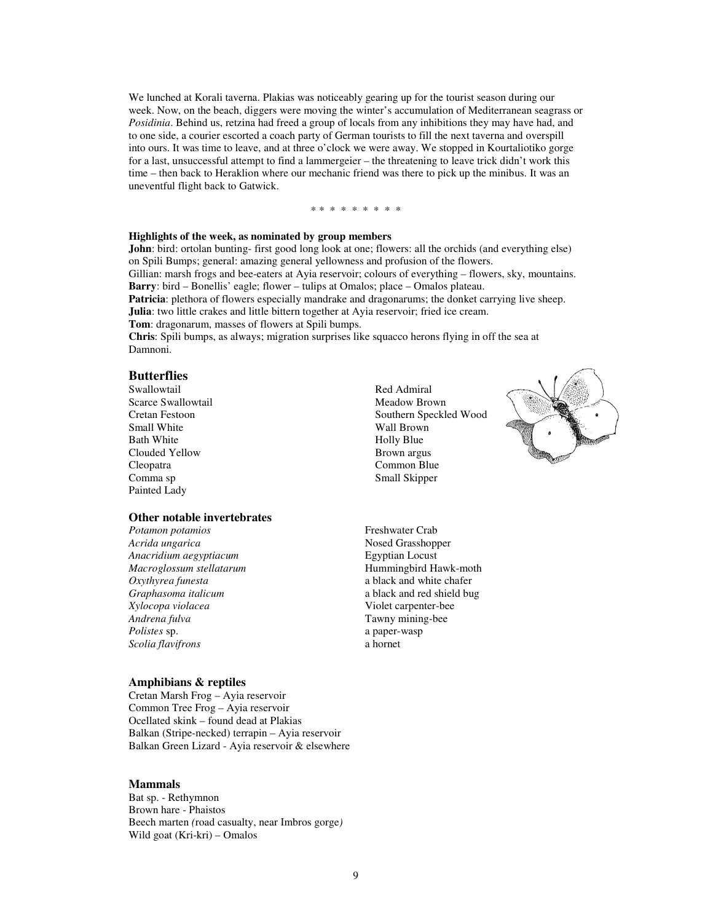We lunched at Korali taverna. Plakias was noticeably gearing up for the tourist season during our week. Now, on the beach, diggers were moving the winter's accumulation of Mediterranean seagrass or *Posidinia*. Behind us, retzina had freed a group of locals from any inhibitions they may have had, and to one side, a courier escorted a coach party of German tourists to fill the next taverna and overspill into ours. It was time to leave, and at three o'clock we were away. We stopped in Kourtaliotiko gorge for a last, unsuccessful attempt to find a lammergeier – the threatening to leave trick didn't work this time – then back to Heraklion where our mechanic friend was there to pick up the minibus. It was an uneventful flight back to Gatwick.

#### \* \* \* \* \* \* \* \* \*

#### **Highlights of the week, as nominated by group members**

**John**: bird: ortolan bunting- first good long look at one; flowers: all the orchids (and everything else) on Spili Bumps; general: amazing general yellowness and profusion of the flowers.

Gillian: marsh frogs and bee-eaters at Ayia reservoir; colours of everything – flowers, sky, mountains. **Barry**: bird – Bonellis' eagle; flower – tulips at Omalos; place – Omalos plateau.

**Patricia**: plethora of flowers especially mandrake and dragonarums; the donket carrying live sheep. **Julia**: two little crakes and little bittern together at Ayia reservoir; fried ice cream.

**Tom**: dragonarum, masses of flowers at Spili bumps.

**Chris**: Spili bumps, as always; migration surprises like squacco herons flying in off the sea at Damnoni.

#### **Butterflies**

Swallowtail Scarce Swallowtail Cretan Festoon Small White Bath White Clouded Yellow Cleopatra Comma sp Painted Lady

#### **Other notable invertebrates**

*Acrida ungarica Acrida ungarica Anacridium aegyptiacum* **Anacridium** *Anacridium aegyptiacum* **Egyptian Locust** *Anacridium aegyptiacum Macroglossum stellatarum* Hummingbird Hawk-moth *Oxythyrea funesta* a black and white chafer *Graphasoma italicum* a black and red shield bug *Xylocopa violacea* Violet carpenter-bee *Polistes* sp. a paper-wasp *Scolia flavifrons* a hornet

#### **Amphibians & reptiles**

Cretan Marsh Frog – Ayia reservoir Common Tree Frog – Ayia reservoir Ocellated skink – found dead at Plakias Balkan (Stripe-necked) terrapin – Ayia reservoir Balkan Green Lizard - Ayia reservoir & elsewhere

#### **Mammals**

Bat sp. - Rethymnon Brown hare - Phaistos Beech marten *(*road casualty, near Imbros gorge*)*  Wild goat (Kri-kri) – Omalos

Red Admiral Meadow Brown Southern Speckled Wood Wall Brown Holly Blue Brown argus Common Blue Small Skipper



*Potamon potamios* Freshwater Crab Tawny mining-bee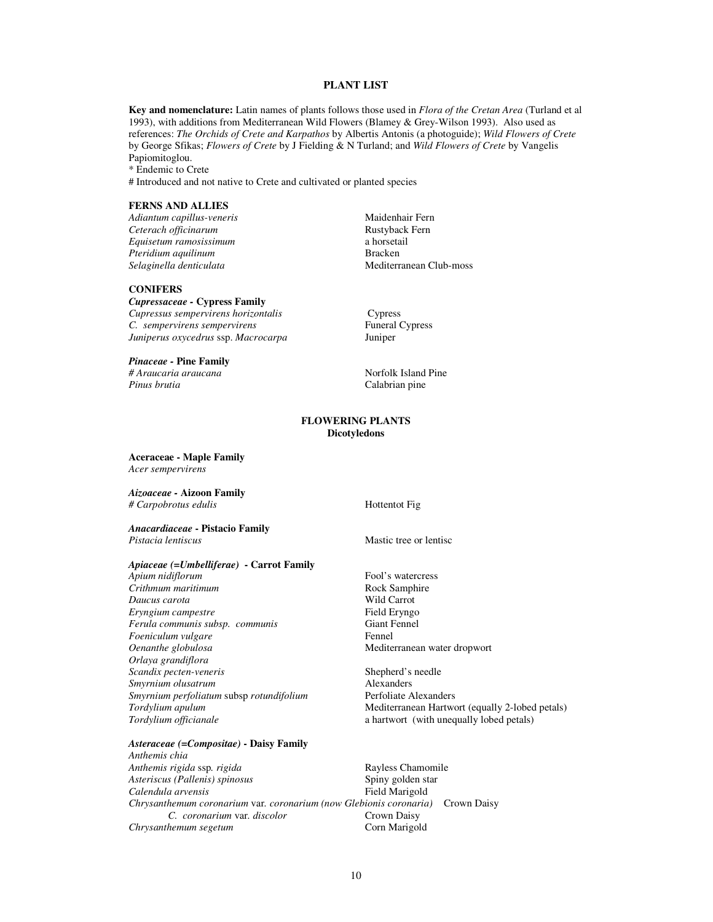#### **PLANT LIST**

**Key and nomenclature:** Latin names of plants follows those used in *Flora of the Cretan Area* (Turland et al 1993), with additions from Mediterranean Wild Flowers (Blamey & Grey-Wilson 1993). Also used as references: *The Orchids of Crete and Karpathos* by Albertis Antonis (a photoguide); *Wild Flowers of Crete*  by George Sfikas; *Flowers of Crete* by J Fielding & N Turland; and *Wild Flowers of Crete* by Vangelis Papiomitoglou. \* Endemic to Crete

# Introduced and not native to Crete and cultivated or planted species

#### **FERNS AND ALLIES**

*Adiantum capillus-veneris* Maidenhair Fern *Ceterach officinarum*<br> *Rustyback* Fausetum *ramosissimum*<br> *Rustyback* a horsetail *Equisetum ramosissimum* a horseta<br> *Pteridium aquilinum* a horseta<br> **Bracken** *Pteridium aquilinum*<br>Selaginella denticulata

#### **CONIFERS**

*Cupressaceae -* **Cypress Family**  *Cupressus sempervirens horizontalis* Cypress<br> *C. sempervirens sempervirens* Funeral Cypress *C. sempervirens sempervirens Juniperus oxycedrus* ssp. *Macrocarpa* Juniper

#### *Pinaceae -* **Pine Family**

*# Araucaria araucana* **Nortollary** *Norfolk Island Pine Pinus brutia* Calabrian pine

*Selaginella denticulata* Mediterranean Club-moss

#### **FLOWERING PLANTS Dicotyledons**

**Aceraceae - Maple Family**  *Acer sempervirens* 

*Aizoaceae -* **Aizoon Family**  *# Carpobrotus edulis* **Hottential Hottential** 

*Anacardiaceae* **- Pistacio Family** *Pistacia lentiscus* and *Pistacia lentiscus* and *Mastic tree or lentisc* 

*Apiaceae (=Umbelliferae)* **- Carrot Family**

*Apium nidiflorum* **Fool's watercress**<br> *Apium maritimum* **Fool's watercress**<br> **Fool's watercress** *Crithmum maritimum Daucus carota* **Wild Carrot**<br> **Example 2008** Even by Field Ervngo  $E$ ryngium campestre *Ferula communis subsp. communis* Giant Fennel *Foeniculum vulgare* Fennel *Oenanthe globulosa* Mediterranean water dropwort *Orlaya grandiflora Scandix pecten-veneris* Shepherd's needle<br>
Shepherd's needle<br>
Alexanders *Smyrnium olusatrum Smyrnium perfoliatum* subsp *rotundifolium* Perfoliate Alexanders

#### *Asteraceae (=Compositae)* **- Daisy Family**

*Anthemis chia*  Anthemis rigida ssp. rigida **Rayless Chamomile** *Asteriscus (Pallenis) spinosus* Spiny golden star *Calendula arvensis Chrysanthemum coronarium* var*. coronarium (now Glebionis coronaria)* Crown Daisy *C. coronarium var. discolor Chrysanthemum segetum* Corn Marigold

**Tordylium apulum 1996 Mediterranean Hartwort (equally 2-lobed petals)**<br> **Mediterranean Hartwort (equally 100 petals)**<br> **A** a hartwort (with unequally 10bed petals) a hartwort (with unequally lobed petals)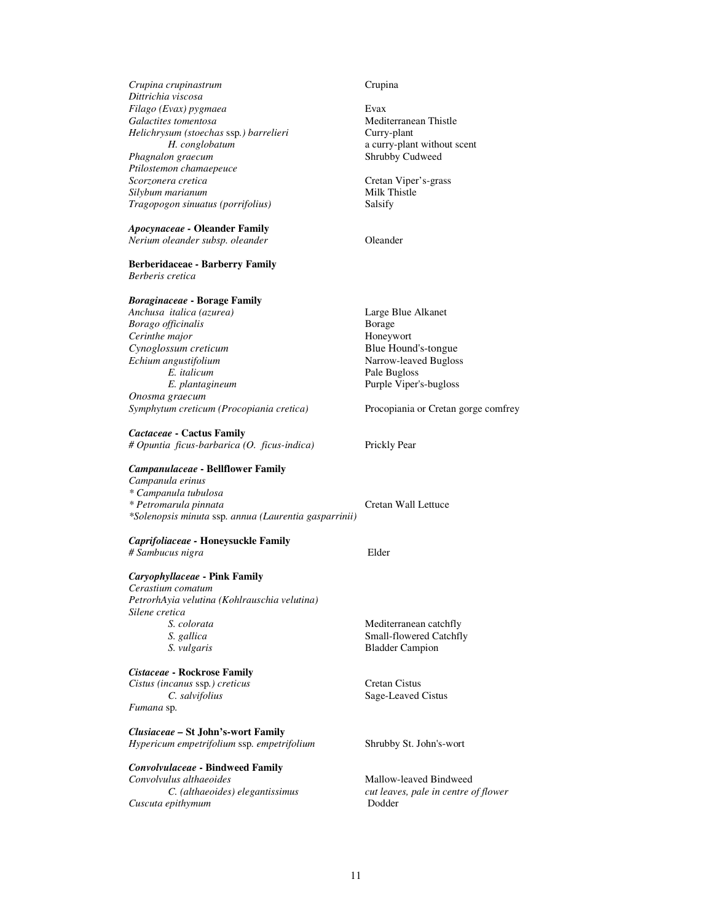| Crupina crupinastrum<br>Dittrichia viscosa                               | Crupina                              |
|--------------------------------------------------------------------------|--------------------------------------|
| Filago (Evax) pygmaea                                                    | Evax                                 |
| Galactites tomentosa                                                     | Mediterranean Thistle                |
| Helichrysum (stoechas ssp.) barrelieri                                   | Curry-plant                          |
| H. conglobatum                                                           | a curry-plant without scent          |
| Phagnalon graecum                                                        | Shrubby Cudweed                      |
| Ptilostemon chamaepeuce                                                  |                                      |
| Scorzonera cretica                                                       | Cretan Viper's-grass                 |
| Silybum marianum                                                         | Milk Thistle                         |
| Tragopogon sinuatus (porrifolius)                                        | Salsify                              |
| <b>Apocynaceae - Oleander Family</b>                                     |                                      |
| Nerium oleander subsp. oleander                                          | Oleander                             |
| <b>Berberidaceae - Barberry Family</b><br>Berberis cretica               |                                      |
| <b>Boraginaceae - Borage Family</b>                                      |                                      |
| Anchusa italica (azurea)                                                 | Large Blue Alkanet                   |
| Borago officinalis                                                       | Borage                               |
| Cerinthe major                                                           | Honeywort                            |
| Cynoglossum creticum                                                     | Blue Hound's-tongue                  |
| Echium angustifolium                                                     | Narrow-leaved Bugloss                |
| E. italicum                                                              | Pale Bugloss                         |
| E. plantagineum                                                          | Purple Viper's-bugloss               |
| Onosma graecum                                                           |                                      |
| Symphytum creticum (Procopiania cretica)                                 | Procopiania or Cretan gorge comfrey  |
| Cactaceae - Cactus Family<br># Opuntia ficus-barbarica (O. ficus-indica) | Prickly Pear                         |
| <b>Campanulaceae - Bellflower Family</b>                                 |                                      |
| Campanula erinus                                                         |                                      |
| * Campanula tubulosa                                                     |                                      |
| * Petromarula pinnata                                                    | Cretan Wall Lettuce                  |
| *Solenopsis minuta ssp. annua (Laurentia gasparrinii)                    |                                      |
| Caprifoliaceae - Honeysuckle Family                                      |                                      |
| # Sambucus nigra                                                         | Elder                                |
|                                                                          |                                      |
| Caryophyllaceae - Pink Family                                            |                                      |
| Cerastium comatum                                                        |                                      |
| PetrorhAyia velutina (Kohlrauschia velutina)                             |                                      |
| Silene cretica                                                           |                                      |
| S. colorata                                                              | Mediterranean catchfly               |
| S. gallica                                                               | Small-flowered Catchfly              |
| S. vulgaris                                                              | <b>Bladder Campion</b>               |
| Cistaceae - Rockrose Family                                              |                                      |
| Cistus (incanus ssp.) creticus                                           | <b>Cretan Cistus</b>                 |
| C. salvifolius                                                           | Sage-Leaved Cistus                   |
| Fumana sp.                                                               |                                      |
| Clusiaceae - St John's-wort Family                                       |                                      |
| Hypericum empetrifolium ssp. empetrifolium                               | Shrubby St. John's-wort              |
| <b>Convolvulaceae - Bindweed Family</b>                                  |                                      |
| Convolvulus althaeoides                                                  | Mallow-leaved Bindweed               |
| C. (althaeoides) elegantissimus                                          | cut leaves, pale in centre of flower |
| Cuscuta epithymum                                                        | Dodder                               |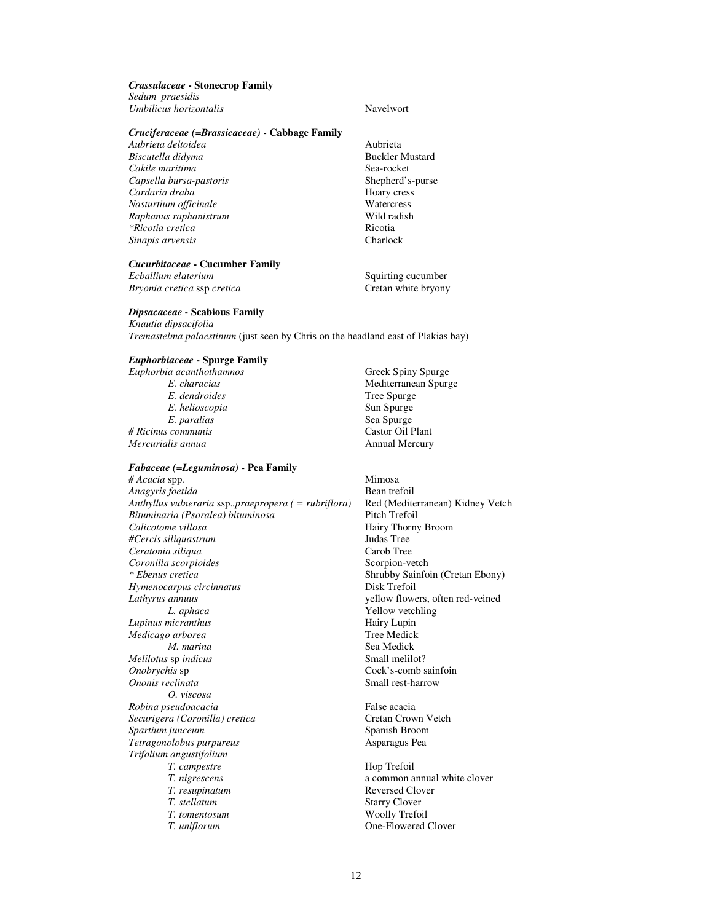#### *Crassulaceae* **- Stonecrop Family**

*Sedum praesidis Umbilicus horizontalis* Navelwort

#### *Cruciferaceae (=Brassicaceae)* **- Cabbage Family**

*Aubrieta deltoidea* Aubrieta *Biscutella didyma* **Buckler Mustard** *Cakile maritima* Sea-rocket *Capsella bursa-pastoris* **Shepherd's-purse Cardaria draba Cardaria Cardaria Cardaria Cardaria Cardaria Cardaria Cardaria Cardaria Cardaria Cardaria Cardaria Cardaria Cardaria Cardaria Carda** *Cardaria draba* Hoary cress *Nasturtium officinale* example **1999** Watercress<br> *Raphanus raphanistrum*Wild radish *Raphanus raphanistrum*<br>
\**Ricotia cretica*<br>
\**Ricotia cretica \*Ricotia cretica* and *Ricotia* Ricotia **Ricotia Ricotia Charlock Charlock Charlock** *Sinapis arvensis* 

## *Cucurbitaceae* **- Cucumber Family**

*Ecballium elaterium* Squirting cucumber  $Bryonia$  *cretica* ssp *cretica* 

#### *Dipsacaceae* **- Scabious Family**

*Knautia dipsacifolia Tremastelma palaestinum* (just seen by Chris on the headland east of Plakias bay)

#### *Euphorbiaceae* **- Spurge Family**

*Euphorbia acanthothamnos* Greek Spiny Spurge *E. dendroides E. helioscopia* Sun Spurge *E. paralias* Sea Spurge *E. paralias # Ricinus communis*<br>Mercurialis annua

#### *Fabaceae (=Leguminosa)* **- Pea Family**

*# Acacia* spp*.* Mimosa *Anagyris foetida* Bean trefoil *Anthyllus vulneraria* ssp.*.praepropera ( = rubriflora)* Red (Mediterranean) Kidney Vetch  $Bituminaria (Posoralea) bituminosa$ *Calicotome villosa* **According the Calicotome villosa Hairy Thorny Broom**<br> *Helencis siliauastrum* **Hairy Thorny Broom** *#Cercis siliquastrum* Judas Tree *Ceratonia siliqua Coronilla scorpioides* Scorpion-vetch<br>
\* Ebenus cretica Shrubby Sainfo *Hymenocarpus circinnatus* **Disk Trefoil** *Lathyrus annuus* yellow flowers, often red-veined *L. aphaca* **Yellow vetchling**<br> *Mairy Lupin* **Example 2018** *Lupinus micranthus* Hairy Lupin *Medicago arborea M. marina* Sea Medick<br>
Sea Medick<br>
Small melilot? *Melilotus* sp *indicus*<br>*Onobrychis* sp *Ononis reclinata* Small rest-harrow *O. viscosa Robina pseudoacacia*<br> *Securigera (Coronilla) cretica* False acacia<br>
Cretan Crown Vetch *Securigera (Coronilla) cretica* **Cretan Crown Vetter** Cretan Crown Vetter Cretan Crown Vetter Spanish Broom **Spartium junceum**<br> *Spartium junceum*<br> *Spartium junceum and spartial spartial Spartial Asparagus Pea*  $I$ etragonolobus purpureus *Trifolium angustifolium T. campestre* **Hop Trefoil**<br> *T. nigrescens* a common a *T. nigrescens* a common annual white clover *T. resupinatum* **a Reversed Clover** *T. stellatum* Starry Clover *T. tomentosum* Woolly Trefoil<br> *T. uniflorum* One-Flowered

**Mediterranean Spurge<br>Tree Spurge E.** Spurge<br>**Castor Oil Plant** *Mercurialis annua* Annual Mercury

**Shrubby Sainfoin (Cretan Ebony)** Cock's-comb sainfoin

**Reversed Clover One-Flowered Clover**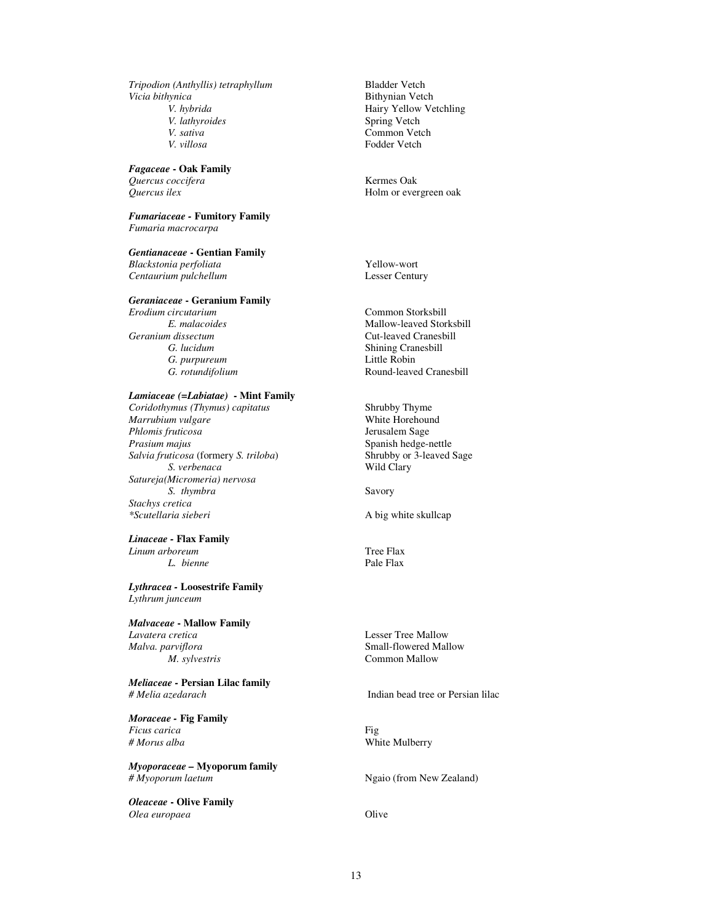*Tripodion (Anthyllis) tetraphyllum* Bladder Vetch *Vicia bithynica*<br> *V. hybrida*<br> *V. hybrida*<br> *V. hybrida V. hybrida* **Hairy Yellow Vetchling**<br> *V. lathyroides* Spring Vetch *V. lathyroides* Spring Vetch<br> *V. sativa* Common Vet *V. villosa* Fodder Vetch

*Fagaceae* **- Oak Family**  *Quercus coccifera* Kermes Oak

*Fumariaceae -* **Fumitory Family**  *Fumaria macrocarpa* 

*Gentianaceae* **- Gentian Family** 

*Blackstonia perfoliata* Yellow-wort **Centaurium pulchellum** 

#### *Geraniaceae* **- Geranium Family**

*Erodium circutarium* Common Storksbill *Geranium dissectum*<br> *G. lucidum*<br> **G.** *C. lucidum*<br> **Cut-leaved Cranesbill**<br> **Cut-leaved Cranesbill**<br> **Cut-leaved Cranesbill** G. purpureum

#### *Lamiaceae (=Labiatae)* **- Mint Family**

*Coridothymus (Thymus) capitatus* **Shrubby Thyme**<br> *Marrubium vulgare* **Shrubby Thyme White Horehound** *Marrubium vulgare* example and the More White Horehound Philometers and the More Sample Sample School and the Mo<br>Philometers and the More School and the More School and School and School and School and School and School a *Phlomis fruticosa*<br>Prasium majus *Salvia fruticosa* (formery *S. triloba*) Shrubby or *S. verbenaca* Wild Clary *S. verbenaca Satureja(Micromeria) nervosa S. thymbra* Savory *Stachys cretica \*Scutellaria sieberi* A big white skullcap

*Linaceae -* **Flax Family**  *Linum arboreum* Tree Flax *L. bienne* Pale Flax

*Lythracea -* **Loosestrife Family**  *Lythrum junceum* 

*Malvaceae* **- Mallow Family**  *Lavatera cretica* Lesser Tree Mallow *Malva. parviflora* **Small-flowered Mallow**<br> *M. sylvestris* **Small-flowered Mallow**<br> **Common Mallow** 

*Meliaceae -* **Persian Lilac family** *# Melia azedarach* Indian bead tree or Persian lilac

*Moraceae -* **Fig Family**  *Ficus carica* Fig

*Myoporaceae –* **Myoporum family** *# Myoporum laetum* **Ngaio** (from New Zealand)

*Oleaceae* **- Olive Family** *Olea europaea* Olive

**Common Vetch** 

Holm or evergreen oak

*E. malacoides* Mallow-leaved Storksbill **Shining Cranesbill**<br>Little Robin *G. rotundifolium* **Round-leaved Cranesbill** 

**Spanish hedge-nettle<br>Shrubby or 3-leaved Sage** 

**Common Mallow** 

**White Mulberry**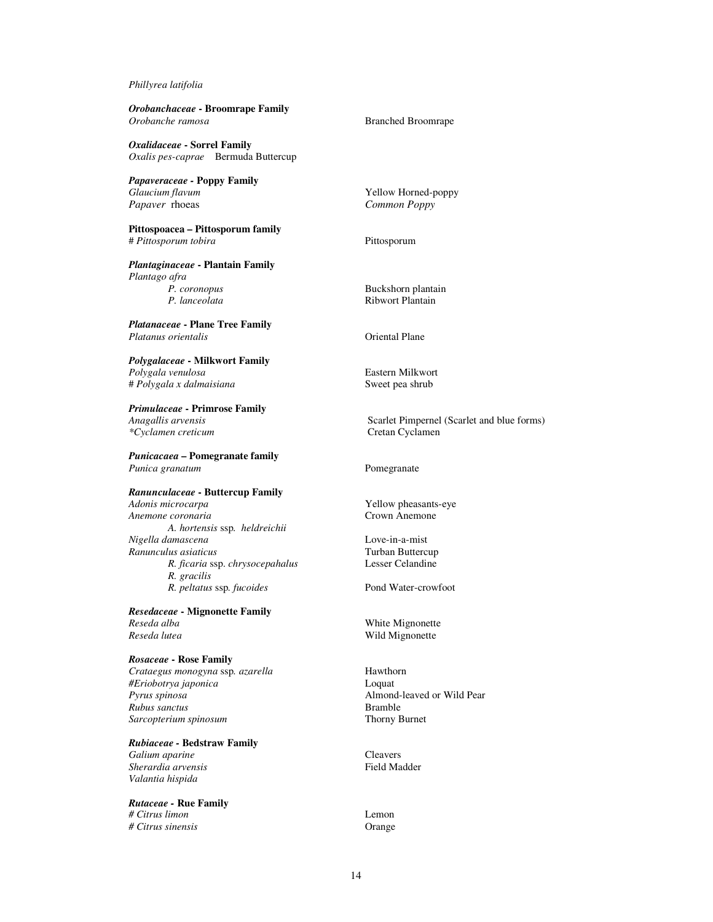### *Phillyrea latifolia*

| Orobanchaceae - Broomrape Family<br>Orobanche ramosa                                                                 | <b>Branched Broomrape</b>                                          |
|----------------------------------------------------------------------------------------------------------------------|--------------------------------------------------------------------|
| Oxalidaceae - Sorrel Family<br>Oxalis pes-caprae Bermuda Buttercup                                                   |                                                                    |
| Papaveraceae - Poppy Family<br>Glaucium flavum<br>Papaver rhoeas                                                     | Yellow Horned-poppy<br>Common Poppy                                |
| Pittospoacea - Pittosporum family<br># Pittosporum tobira                                                            | Pittosporum                                                        |
| Plantaginaceae - Plantain Family<br>Plantago afra                                                                    |                                                                    |
| P. coronopus<br>P. lanceolata                                                                                        | Buckshorn plantain<br><b>Ribwort Plantain</b>                      |
| <i><b>Platanaceae - Plane Tree Family</b></i><br>Platanus orientalis                                                 | <b>Oriental Plane</b>                                              |
| Polygalaceae - Milkwort Family<br>Polygala venulosa<br># Polygala x dalmaisiana                                      | Eastern Milkwort<br>Sweet pea shrub                                |
| Primulaceae - Primrose Family                                                                                        |                                                                    |
| Anagallis arvensis<br>*Cyclamen creticum                                                                             | Scarlet Pimpernel (Scarlet and blue forms)<br>Cretan Cyclamen      |
| <b>Punicacaea – Pomegranate family</b><br>Punica granatum                                                            | Pomegranate                                                        |
| <i><b>Ranunculaceae - Buttercup Family</b></i>                                                                       |                                                                    |
| Adonis microcarpa<br>Anemone coronaria<br>A. hortensis ssp. heldreichii                                              | Yellow pheasants-eye<br>Crown Anemone                              |
| Nigella damascena<br>Ranunculus asiaticus                                                                            | Love-in-a-mist<br>Turban Buttercup                                 |
| R. ficaria ssp. chrysocepahalus<br>R. gracilis                                                                       | Lesser Celandine                                                   |
| R. peltatus ssp. fucoides                                                                                            | Pond Water-crowfoot                                                |
| Resedaceae - Mignonette Family<br>Reseda alba<br>Reseda lutea                                                        | White Mignonette<br>Wild Mignonette                                |
| Rosaceae - Rose Family<br>Crataegus monogyna ssp. azarella<br>#Eriobotrya japonica<br>Pyrus spinosa<br>Rubus sanctus | Hawthorn<br>Loquat<br>Almond-leaved or Wild Pear<br><b>Bramble</b> |
| Sarcopterium spinosum                                                                                                | Thorny Burnet                                                      |
| <b>Rubiaceae - Bedstraw Family</b><br>Galium aparine<br>Sherardia arvensis<br>Valantia hispida                       | Cleavers<br><b>Field Madder</b>                                    |
| Rutaceae - Rue Family                                                                                                |                                                                    |
| # Citrus limon<br># Citrus sinensis                                                                                  | Lemon<br>Orange                                                    |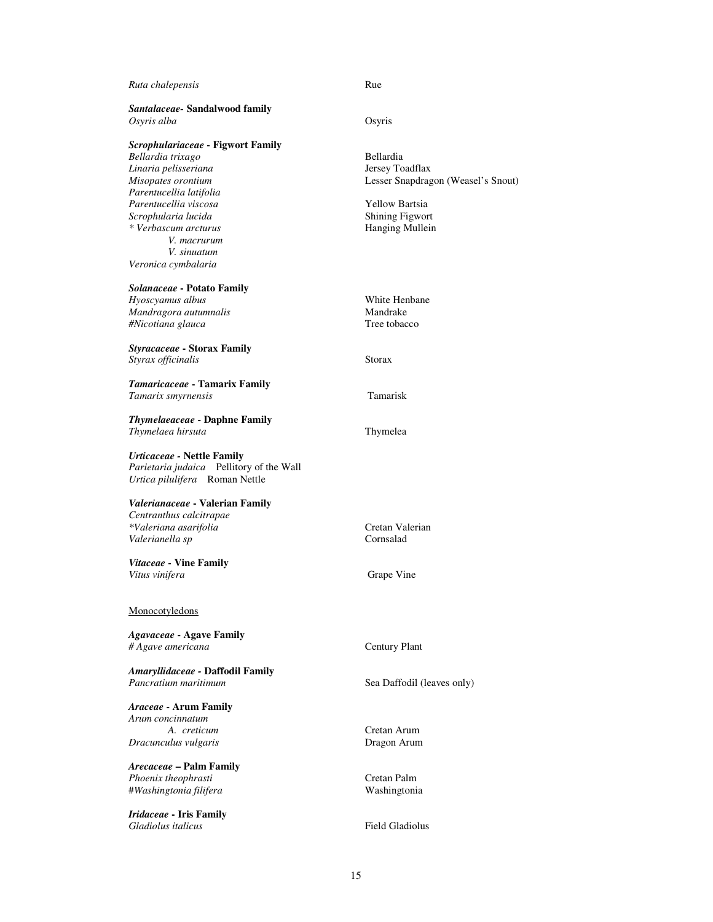| Ruta chalepensis                             | Rue                                |
|----------------------------------------------|------------------------------------|
| Santalaceae-Sandalwood family<br>Osyris alba | Osyris                             |
| <b>Scrophulariaceae - Figwort Family</b>     |                                    |
| Bellardia trixago                            | <b>Bellardia</b>                   |
| Linaria pelisseriana                         | Jersey Toadflax                    |
| Misopates orontium                           | Lesser Snapdragon (Weasel's Snout) |
| Parentucellia latifolia                      |                                    |
| Parentucellia viscosa                        | <b>Yellow Bartsia</b>              |
| Scrophularia lucida                          | <b>Shining Figwort</b>             |
| * Verbascum arcturus                         | Hanging Mullein                    |
| V. macrurum                                  |                                    |
| V. sinuatum                                  |                                    |
| Veronica cymbalaria                          |                                    |
| Solanaceae - Potato Family                   |                                    |
| Hyoscyamus albus                             | White Henbane                      |
| Mandragora autumnalis                        | Mandrake                           |
| #Nicotiana glauca                            | Tree tobacco                       |
|                                              |                                    |
| Styracaceae - Storax Family                  | <b>Storax</b>                      |
| Styrax officinalis                           |                                    |
| Tamaricaceae - Tamarix Family                |                                    |
| Tamarix smyrnensis                           | Tamarisk                           |
|                                              |                                    |
| <b>Thymelaeaceae - Daphne Family</b>         |                                    |
| Thymelaea hirsuta                            | Thymelea                           |
|                                              |                                    |
| <b>Urticaceae - Nettle Family</b>            |                                    |
| Parietaria judaica Pellitory of the Wall     |                                    |
| Urtica pilulifera Roman Nettle               |                                    |
|                                              |                                    |
| Valerianaceae - Valerian Family              |                                    |
| Centranthus calcitrapae                      | Cretan Valerian                    |
| *Valeriana asarifolia<br>Valerianella sp     | Cornsalad                          |
|                                              |                                    |
| Vitaceae - Vine Family                       |                                    |
| Vitus vinifera                               | Grape Vine                         |
|                                              |                                    |
|                                              |                                    |
| Monocotyledons                               |                                    |
| <b>Agavaceae - Agave Family</b>              |                                    |
| # Agave americana                            | <b>Century Plant</b>               |
|                                              |                                    |
| Amaryllidaceae - Daffodil Family             |                                    |
| Pancratium maritimum                         | Sea Daffodil (leaves only)         |
|                                              |                                    |
| <b>Araceae - Arum Family</b>                 |                                    |
| Arum concinnatum                             |                                    |
| A. creticum                                  | Cretan Arum                        |
| Dracunculus vulgaris                         | Dragon Arum                        |
|                                              |                                    |
| <b>Arecaceae - Palm Family</b>               |                                    |
| Phoenix theophrasti                          | Cretan Palm                        |
| #Washingtonia filifera                       | Washingtonia                       |
| Iridaceae - Iris Family                      |                                    |
| Gladiolus italicus                           | <b>Field Gladiolus</b>             |
|                                              |                                    |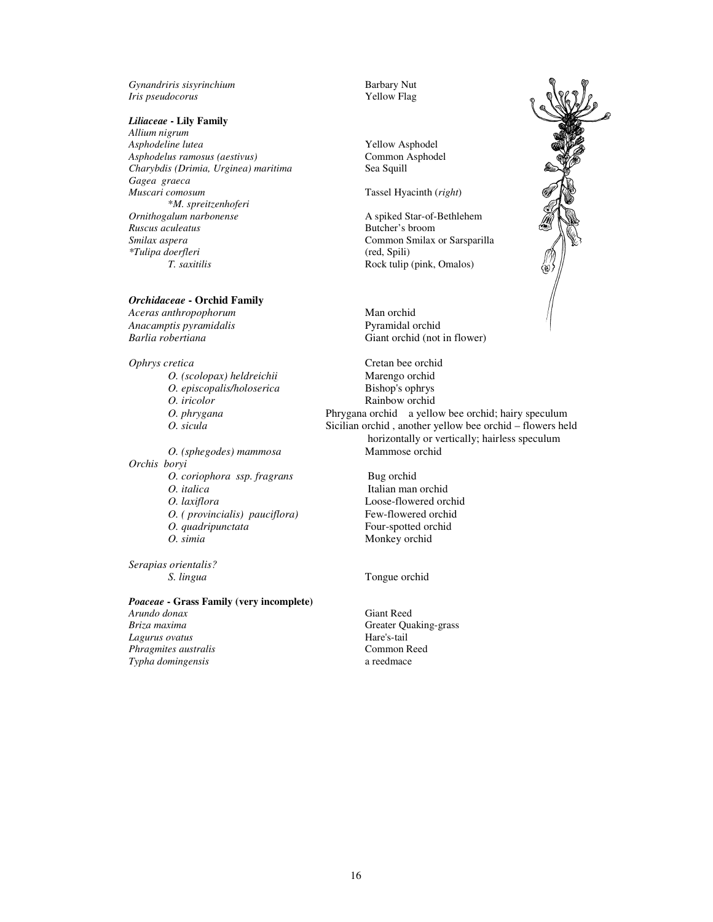*Gynandriris sisyrinchium* Barbary Nut *Iris pseudocorus* Yellow Flag

#### *Liliaceae* **- Lily Family**

*Allium nigrum Asphodeline lutea* Yellow Asphodel *Asphodelus ramosus (aestivus)* Common Asphodel *Charybdis (Drimia, Urginea) maritima* Sea Squill *Gagea graeca*  \**M. spreitzenhoferi Ornithogalum narbonense* **A** spiked Star-of-Bethlehem<br> *Ruscus aculeatus* **A** spiked Star-of-Bethlehem<br>
Butcher's broom *Ruscus aculeatus* Butcher's broom *\*Tulipa doerfleri* (red, Spili) *T. saxitilis* Rock tulip (pink, Omalos)

#### *Orchidaceae* **- Orchid Family**

*Aceras anthropophorum*<br> *Anacamptis pyramidalis*<br> *Anacamptis pyramidalis Anacamptis pyramidalis Barlia robertiana* Giant orchid (not in flower)

*O. (scolopax) heldreichii* Marengo orchid<br> *O. episcopalis/holoserica* Bishop's ophrys *O. episcopalis/holoserica* Bishop's ophrys *O. iricolor* Rainbow orchid

*Orchis boryi O. coriophora ssp. fragrans* Bug orchid *O. italica* Italian man orchid *O. laxiflora* **Loose-flowered orchid**<br> *O. ( provincialis) pauciflora* **example 3** Few-flowered orchid *O.* ( provincialis) pauciflora) *O. quadripunctata* **Four-spotted orchid**<br> *O. simia* **Monkey orchid** 

*Serapias orientalis?* 

#### *Poaceae* **- Grass Family (very incomplete)**

*Arundo donax* **Giant Reed**<br> *Briza maxima* **Giant Reed**<br>
Greater Ou Lagurus ovatus *Phragmites australis* **Common Reed**<br> *Typha domingensis* a reedmace a reedmace  $T$ *ypha domingensis* 

Tassel Hyacinth (*right*)

Common Smilax or Sarsparilla

*Ophrys cretica* Cretan bee orchid *O. phrygana* Phrygana orchid a yellow bee orchid; hairy speculum *O. sicula* **Sicilian orchid**, another yellow bee orchid – flowers held horizontally or vertically; hairless speculum *O. (sphegodes) mammosa* Mammose orchid

**Monkey** orchid

*S. lingua* Tongue orchid

*Breater Quaking-grass*<br>*Hare's-tail* 

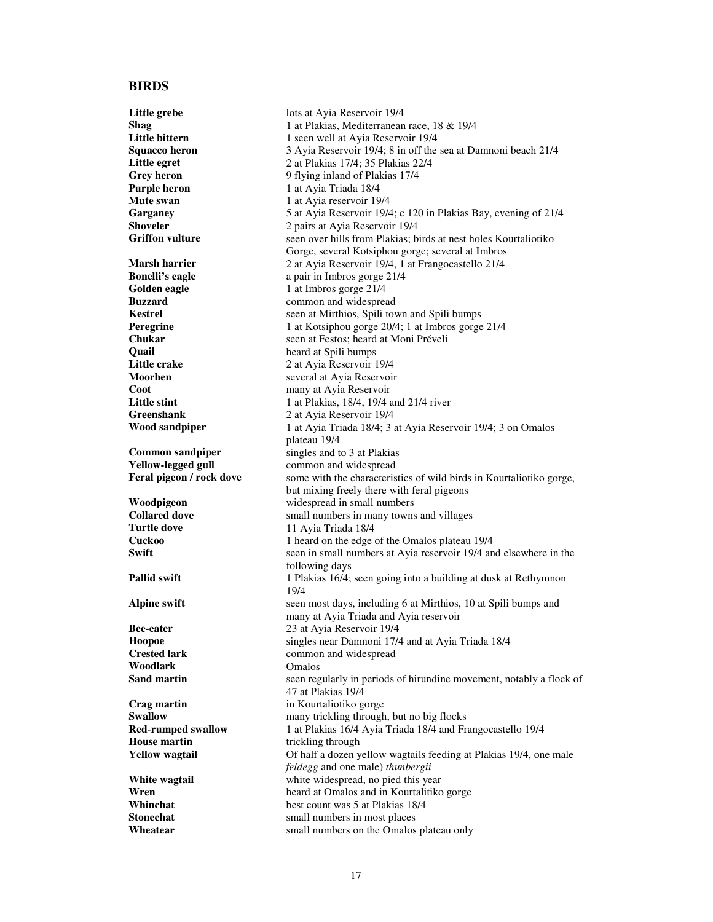#### **BIRDS**

**Little grebe** lots at Ayia Reservoir 19/4 **Shag** 1 at Plakias, Mediterranean race, 18 & 19/4 **Little bittern** 1 seen well at Ayia Reservoir 19/4 **Squacco heron** 3 Ayia Reservoir 19/4; 8 in off the sea at Damnoni beach 21/4 **Little egret** 2 at Plakias 17/4; 35 Plakias 22/4 **Grey heron** 9 flying inland of Plakias 17/4 **Purple heron** 1 at Avia Triada 18/4 **Mute swan 1** at Ayia reservoir 19/4<br> **Garganey** 5 at Ayia Reservoir 19/4 Garganey 5 at Ayia Reservoir 19/4; c 120 in Plakias Bay, evening of 21/4<br>
Shoveler 2 pairs at Avia Reservoir 19/4 **Shoveler** 2 pairs at Ayia Reservoir 19/4<br> **Griffon vulture** Seen over hills from Plakias: b seen over hills from Plakias; birds at nest holes Kourtaliotiko Gorge, several Kotsiphou gorge; several at Imbros **Marsh harrier** 2 at Ayia Reservoir 19/4, 1 at Frangocastello 21/4 **Bonelli's eagle** a pair in Imbros gorge 21/4 **Golden eagle 1** at Imbros gorge 21/4<br>**Buzzard common** and widespread **Buzzard Common and widespread Kestrel Common and widespread Common and widespread** seen at Mirthios, Spili town and Spili bumps **Peregrine** 1 at Kotsiphou gorge 20/4; 1 at Imbros gorge 21/4<br> **Chukar** seen at Festos: heard at Moni Préveli **Chukar** seen at Festos; heard at Moni Préveli **Quail Quail Constant According to the Little crake**<br> **1.** The *Little crake* **Constant Constant Constant Constant Constant Constant Constant Constant Constant Constant Constant Constant Constant Constant Constant Cons Little crake** 2 at Ayia Reservoir 19/4<br>Moorhen several at Avia Reservoir several at Ayia Reservoir **Coot** many at Ayia Reservoir **Little stint** 1 at Plakias, 18/4, 19/4 and 21/4 river **Greenshank** 2 at Ayia Reservoir 19/4<br>**Wood sandpiper** 1 at Ayia Triada 18/4: 3 **Wood sandpiper** 1 at Ayia Triada 18/4; 3 at Ayia Reservoir 19/4; 3 on Omalos plateau 19/4 **Common sandpiper** singles and to 3 at Plakias Yellow-legged gull **values** common and widespread **Feral pigeon / rock dove** some with the characteristics of wild birds in Kourtaliotiko gorge, but mixing freely there with feral pigeons **Woodpigeon widespread in small numbers**<br> **Collared dove by** small numbers in many towns **Collared dove small numbers in many towns and villages**<br> **Turtle dove 11 Ayia Triada 18/4 Turtle dove** 11 Ayia Triada 18/4 **Cuckoo** 1 heard on the edge of the Omalos plateau 19/4 **Swift** seen in small numbers at Ayia reservoir 19/4 and elsewhere in the following days **Pallid swift** 1 Plakias 16/4; seen going into a building at dusk at Rethymnon 19/4 **Alpine swift** seen most days, including 6 at Mirthios, 10 at Spili bumps and many at Ayia Triada and Ayia reservoir **Bee-eater** 23 at Ayia Reservoir 19/4<br> **Hoopoe** singles near Damnoni 17/4 **Hoopoe singles near Damnoni 17/4 and at Ayia Triada 18/4**<br>**Crested lark common** and widespread common and widespread **Woodlark** Omalos **Sand martin** seen regularly in periods of hirundine movement, notably a flock of 47 at Plakias 19/4 **Crag martin in Kourtaliotiko gorge**<br> **Swallow many trickling through Swallow many trickling through, but no big flocks**<br>**Red-rumped swallow** 1 at Plakias 16/4 Avia Triada 18/4 and Fr. **Red-rumped swallow** 1 at Plakias 16/4 Ayia Triada 18/4 and Frangocastello 19/4 **House martin** trickling through trickling through **Yellow wagtail** Of half a dozen yellow wagtails feeding at Plakias 19/4, one male *feldegg* and one male) *thunbergii* **White wagtail White widespread, no pied this year Wren Wren Widespread at Omalos and in Kourtalitiko** heard at Omalos and in Kourtalitiko gorge **Whinchat** best count was 5 at Plakias 18/4 **Stonechat** small numbers in most places **Wheatear small numbers on the Omalos plateau only**